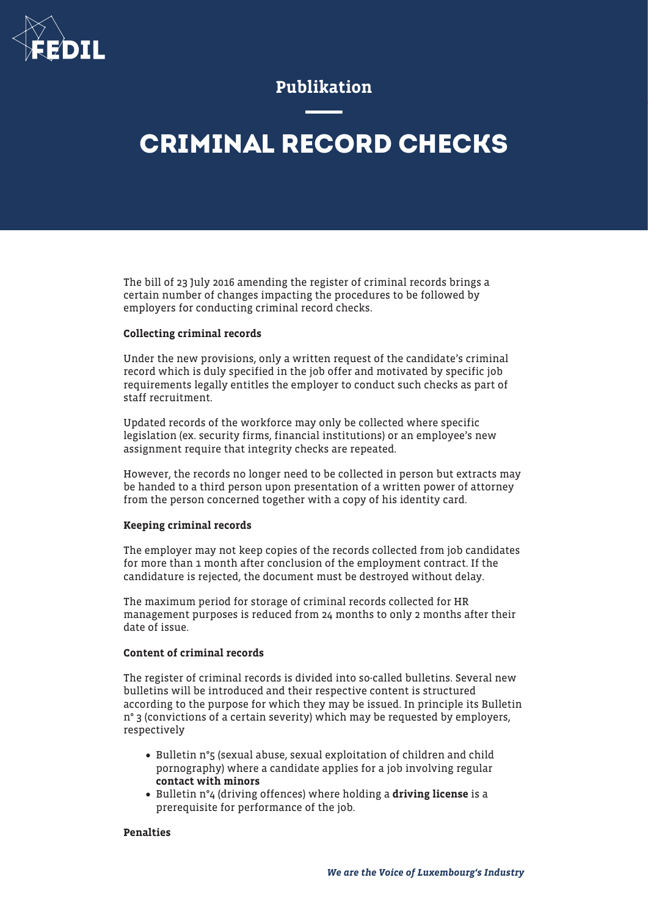

# Publikation

# **CRIMINAL RECORD CHECKS**

The bill of 23 July 2016 amending the register of criminal records brings a certain number of changes impacting the procedures to be followed by employers for conducting criminal record checks.

#### Collecting criminal records

Under the new provisions, only a written request of the candidate's criminal record which is duly specified in the job offer and motivated by specific job requirements legally entitles the employer to conduct such checks as part of staff recruitment.

Updated records of the workforce may only be collected where specific legislation (ex. security firms, financial institutions) or an employee's new assignment require that integrity checks are repeated.

However, the records no longer need to be collected in person but extracts may be handed to a third person upon presentation of a written power of attorney from the person concerned together with a copy of his identity card.

#### Keeping criminal records

The employer may not keep copies of the records collected from job candidates for more than 1 month after conclusion of the employment contract. If the candidature is rejected, the document must be destroyed without delay.

The maximum period for storage of criminal records collected for HR management purposes is reduced from 24 months to only 2 months after their date of issue.

## Content of criminal records

The register of criminal records is divided into so-called bulletins. Several new bulletins will be introduced and their respective content is structured according to the purpose for which they may be issued. In principle its Bulletin n° 3 (convictions of a certain severity) which may be requested by employers, respectively

- Bulletin n°5 (sexual abuse, sexual exploitation of children and child pornography) where a candidate applies for a job involving regular contact with minors
- Bulletin n<sup>o</sup>4 (driving offences) where holding a **driving license** is a prerequisite for performance of the job.

## Penalties